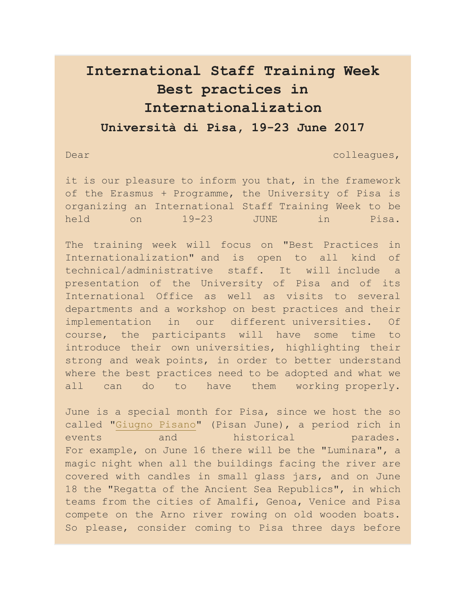## **International Staff Training Week Best practices in Internationalization Università di Pisa, 19-23 June 2017**

Dear colleagues,

it is our pleasure to inform you that, in the framework of the Erasmus + Programme, the University of Pisa is organizing an International Staff Training Week to be held on 19-23 JUNE in Pisa.

The training week will focus on "Best Practices in Internationalization" and is open to all kind of technical/administrative staff. It will include a presentation of the University of Pisa and of its International Office as well as visits to several departments and a workshop on best practices and their implementation in our different universities. Of course, the participants will have some time to introduce their own universities, highlighting their strong and weak points, in order to better understand where the best practices need to be adopted and what we all can do to have them working properly.

June is a special month for Pisa, since we host the so called "Giugno [Pisano"](http://unipi.us13.list-manage.com/track/click?u=0240237b8640295c378ea19fa&id=f0be94c437&e=ed1162c1e8) (Pisan June), a period rich in events and historical parades. For example, on June 16 there will be the "Luminara", a magic night when all the buildings facing the river are covered with candles in small glass jars, and on June 18 the "Regatta of the Ancient Sea Republics", in which teams from the cities of Amalfi, Genoa, Venice and Pisa compete on the Arno river rowing on old wooden boats. So please, consider coming to Pisa three days before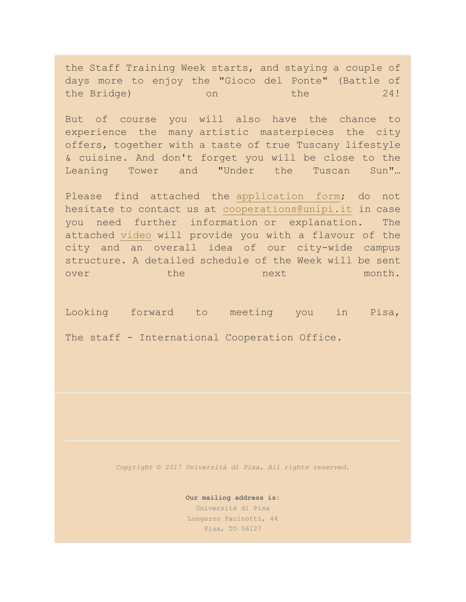the Staff Training Week starts, and staying a couple of days more to enjoy the "Gioco del Ponte" (Battle of the Bridge) on the 24!

But of course you will also have the chance to experience the many artistic masterpieces the city offers, together with a taste of true Tuscany lifestyle & cuisine. And don't forget you will be close to the Leaning Tower and "Under the Tuscan Sun"…

Please find attached the [application form;](http://unipi.us13.list-manage1.com/track/click?u=0240237b8640295c378ea19fa&id=de2dfc3e17&e=ed1162c1e8) do not hesitate to contact us at [cooperations@unipi.it](mailto:cooperations@unipi.it?subject=International%20Staff%20Training%20Week%202017%20-%20Universit%C3%A0%20di%20Pisa) in case you need further information or explanation. The attached [video](http://unipi.us13.list-manage.com/track/click?u=0240237b8640295c378ea19fa&id=5ca838a09a&e=ed1162c1e8) will provide you with a flavour of the city and an overall idea of our city-wide campus structure. A detailed schedule of the Week will be sent over the the next month.

Looking forward to meeting you in Pisa,

The staff - International Cooperation Office.

*Copyright © 2017 Università di Pisa, All rights reserved.*

**Our mailing address is:** Università di Pisa Lungarno Pacinotti, 44 Pisa, TO 56127